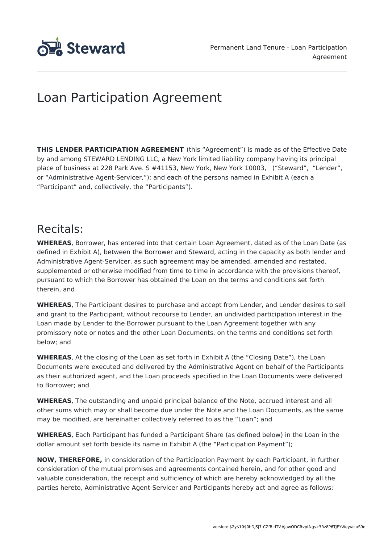

# Loan Participation Agreement

**THIS LENDER PARTICIPATION AGREEMENT** (this "Agreement") is made as of the Effective Date by and among STEWARD LENDING LLC, a New York limited liability company having its principal place of business at 228 Park Ave. S #41153, New York, New York 10003, ("Steward", "Lender", or "Administrative Agent-Servicer,"); and each of the persons named in Exhibit A (each a "Participant" and, collectively, the "Participants").

## Recitals:

**WHEREAS**, Borrower, has entered into that certain Loan Agreement, dated as of the Loan Date (as defined in Exhibit A), between the Borrower and Steward, acting in the capacity as both lender and Administrative Agent-Servicer, as such agreement may be amended, amended and restated, supplemented or otherwise modified from time to time in accordance with the provisions thereof, pursuant to which the Borrower has obtained the Loan on the terms and conditions set forth therein, and

**WHEREAS**, The Participant desires to purchase and accept from Lender, and Lender desires to sell and grant to the Participant, without recourse to Lender, an undivided participation interest in the Loan made by Lender to the Borrower pursuant to the Loan Agreement together with any promissory note or notes and the other Loan Documents, on the terms and conditions set forth below; and

**WHEREAS**, At the closing of the Loan as set forth in Exhibit A (the "Closing Date"), the Loan Documents were executed and delivered by the Administrative Agent on behalf of the Participants as their authorized agent, and the Loan proceeds specified in the Loan Documents were delivered to Borrower; and

**WHEREAS**, The outstanding and unpaid principal balance of the Note, accrued interest and all other sums which may or shall become due under the Note and the Loan Documents, as the same may be modified, are hereinafter collectively referred to as the "Loan"; and

**WHEREAS**, Each Participant has funded a Participant Share (as defined below) in the Loan in the dollar amount set forth beside its name in Exhibit A (the "Participation Payment");

**NOW, THEREFORE,** in consideration of the Participation Payment by each Participant, in further consideration of the mutual promises and agreements contained herein, and for other good and valuable consideration, the receipt and sufficiency of which are hereby acknowledged by all the parties hereto, Administrative Agent-Servicer and Participants hereby act and agree as follows: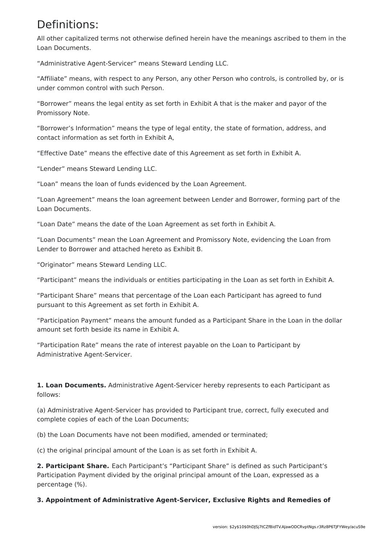## Definitions:

All other capitalized terms not otherwise defined herein have the meanings ascribed to them in the Loan Documents.

"Administrative Agent-Servicer" means Steward Lending LLC.

"Affiliate" means, with respect to any Person, any other Person who controls, is controlled by, or is under common control with such Person.

"Borrower" means the legal entity as set forth in Exhibit A that is the maker and payor of the Promissory Note.

"Borrower's Information" means the type of legal entity, the state of formation, address, and contact information as set forth in Exhibit A,

"Effective Date" means the effective date of this Agreement as set forth in Exhibit A.

"Lender" means Steward Lending LLC.

"Loan" means the loan of funds evidenced by the Loan Agreement.

"Loan Agreement" means the loan agreement between Lender and Borrower, forming part of the Loan Documents.

"Loan Date" means the date of the Loan Agreement as set forth in Exhibit A.

"Loan Documents" mean the Loan Agreement and Promissory Note, evidencing the Loan from Lender to Borrower and attached hereto as Exhibit B.

"Originator" means Steward Lending LLC.

"Participant" means the individuals or entities participating in the Loan as set forth in Exhibit A.

"Participant Share" means that percentage of the Loan each Participant has agreed to fund pursuant to this Agreement as set forth in Exhibit A.

"Participation Payment" means the amount funded as a Participant Share in the Loan in the dollar amount set forth beside its name in Exhibit A.

"Participation Rate" means the rate of interest payable on the Loan to Participant by Administrative Agent-Servicer.

**1. Loan Documents.** Administrative Agent-Servicer hereby represents to each Participant as follows:

(a) Administrative Agent-Servicer has provided to Participant true, correct, fully executed and complete copies of each of the Loan Documents;

(b) the Loan Documents have not been modified, amended or terminated;

(c) the original principal amount of the Loan is as set forth in Exhibit A.

**2. Participant Share.** Each Participant's "Participant Share" is defined as such Participant's Participation Payment divided by the original principal amount of the Loan, expressed as a percentage (%).

**3. Appointment of Administrative Agent-Servicer, Exclusive Rights and Remedies of**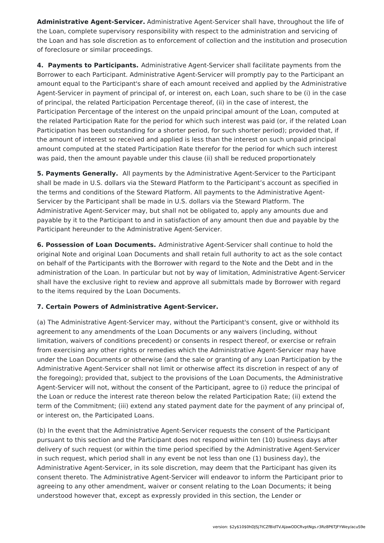**Administrative Agent-Servicer.** Administrative Agent-Servicer shall have, throughout the life of the Loan, complete supervisory responsibility with respect to the administration and servicing of the Loan and has sole discretion as to enforcement of collection and the institution and prosecution of foreclosure or similar proceedings.

**4. Payments to Participants.** Administrative Agent-Servicer shall facilitate payments from the Borrower to each Participant. Administrative Agent-Servicer will promptly pay to the Participant an amount equal to the Participant's share of each amount received and applied by the Administrative Agent-Servicer in payment of principal of, or interest on, each Loan, such share to be (i) in the case of principal, the related Participation Percentage thereof, (ii) in the case of interest, the Participation Percentage of the interest on the unpaid principal amount of the Loan, computed at the related Participation Rate for the period for which such interest was paid (or, if the related Loan Participation has been outstanding for a shorter period, for such shorter period); provided that, if the amount of interest so received and applied is less than the interest on such unpaid principal amount computed at the stated Participation Rate therefor for the period for which such interest was paid, then the amount payable under this clause (ii) shall be reduced proportionately

**5. Payments Generally.** All payments by the Administrative Agent-Servicer to the Participant shall be made in U.S. dollars via the Steward Platform to the Participant's account as specified in the terms and conditions of the Steward Platform. All payments to the Administrative Agent-Servicer by the Participant shall be made in U.S. dollars via the Steward Platform. The Administrative Agent-Servicer may, but shall not be obligated to, apply any amounts due and payable by it to the Participant to and in satisfaction of any amount then due and payable by the Participant hereunder to the Administrative Agent-Servicer.

**6. Possession of Loan Documents.** Administrative Agent-Servicer shall continue to hold the original Note and original Loan Documents and shall retain full authority to act as the sole contact on behalf of the Participants with the Borrower with regard to the Note and the Debt and in the administration of the Loan. In particular but not by way of limitation, Administrative Agent-Servicer shall have the exclusive right to review and approve all submittals made by Borrower with regard to the items required by the Loan Documents.

### **7. Certain Powers of Administrative Agent-Servicer.**

(a) The Administrative Agent-Servicer may, without the Participant's consent, give or withhold its agreement to any amendments of the Loan Documents or any waivers (including, without limitation, waivers of conditions precedent) or consents in respect thereof, or exercise or refrain from exercising any other rights or remedies which the Administrative Agent-Servicer may have under the Loan Documents or otherwise (and the sale or granting of any Loan Participation by the Administrative Agent-Servicer shall not limit or otherwise affect its discretion in respect of any of the foregoing); provided that, subject to the provisions of the Loan Documents, the Administrative Agent-Servicer will not, without the consent of the Participant, agree to (i) reduce the principal of the Loan or reduce the interest rate thereon below the related Participation Rate; (ii) extend the term of the Commitment; (iii) extend any stated payment date for the payment of any principal of, or interest on, the Participated Loans.

(b) In the event that the Administrative Agent-Servicer requests the consent of the Participant pursuant to this section and the Participant does not respond within ten (10) business days after delivery of such request (or within the time period specified by the Administrative Agent-Servicer in such request, which period shall in any event be not less than one (1) business day), the Administrative Agent-Servicer, in its sole discretion, may deem that the Participant has given its consent thereto. The Administrative Agent-Servicer will endeavor to inform the Participant prior to agreeing to any other amendment, waiver or consent relating to the Loan Documents; it being understood however that, except as expressly provided in this section, the Lender or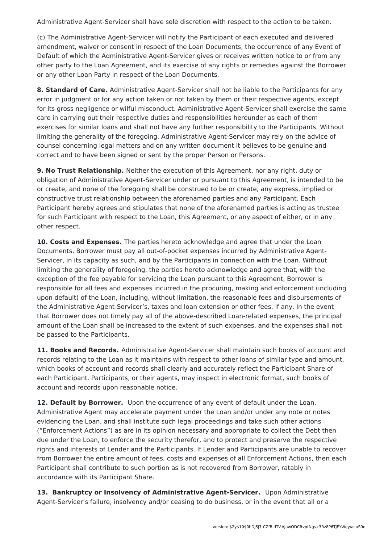Administrative Agent-Servicer shall have sole discretion with respect to the action to be taken.

(c) The Administrative Agent-Servicer will notify the Participant of each executed and delivered amendment, waiver or consent in respect of the Loan Documents, the occurrence of any Event of Default of which the Administrative Agent-Servicer gives or receives written notice to or from any other party to the Loan Agreement, and its exercise of any rights or remedies against the Borrower or any other Loan Party in respect of the Loan Documents.

**8. Standard of Care.** Administrative Agent-Servicer shall not be liable to the Participants for any error in judgment or for any action taken or not taken by them or their respective agents, except for its gross negligence or wilful misconduct. Administrative Agent-Servicer shall exercise the same care in carrying out their respective duties and responsibilities hereunder as each of them exercises for similar loans and shall not have any further responsibility to the Participants. Without limiting the generality of the foregoing, Administrative Agent-Servicer may rely on the advice of counsel concerning legal matters and on any written document it believes to be genuine and correct and to have been signed or sent by the proper Person or Persons.

**9. No Trust Relationship.** Neither the execution of this Agreement, nor any right, duty or obligation of Administrative Agent-Servicer under or pursuant to this Agreement, is intended to be or create, and none of the foregoing shall be construed to be or create, any express, implied or constructive trust relationship between the aforenamed parties and any Participant. Each Participant hereby agrees and stipulates that none of the aforenamed parties is acting as trustee for such Participant with respect to the Loan, this Agreement, or any aspect of either, or in any other respect.

**10. Costs and Expenses.** The parties hereto acknowledge and agree that under the Loan Documents, Borrower must pay all out-of-pocket expenses incurred by Administrative Agent-Servicer, in its capacity as such, and by the Participants in connection with the Loan. Without limiting the generality of foregoing, the parties hereto acknowledge and agree that, with the exception of the fee payable for servicing the Loan pursuant to this Agreement, Borrower is responsible for all fees and expenses incurred in the procuring, making and enforcement (including upon default) of the Loan, including, without limitation, the reasonable fees and disbursements of the Administrative Agent-Servicer's, taxes and loan extension or other fees, if any. In the event that Borrower does not timely pay all of the above-described Loan-related expenses, the principal amount of the Loan shall be increased to the extent of such expenses, and the expenses shall not be passed to the Participants.

**11. Books and Records.** Administrative Agent-Servicer shall maintain such books of account and records relating to the Loan as it maintains with respect to other loans of similar type and amount, which books of account and records shall clearly and accurately reflect the Participant Share of each Participant. Participants, or their agents, may inspect in electronic format, such books of account and records upon reasonable notice.

**12. Default by Borrower.** Upon the occurrence of any event of default under the Loan, Administrative Agent may accelerate payment under the Loan and/or under any note or notes evidencing the Loan, and shall institute such legal proceedings and take such other actions ("Enforcement Actions") as are in its opinion necessary and appropriate to collect the Debt then due under the Loan, to enforce the security therefor, and to protect and preserve the respective rights and interests of Lender and the Participants. If Lender and Participants are unable to recover from Borrower the entire amount of fees, costs and expenses of all Enforcement Actions, then each Participant shall contribute to such portion as is not recovered from Borrower, ratably in accordance with its Participant Share.

**13. Bankruptcy or Insolvency of Administrative Agent-Servicer.** Upon Administrative Agent-Servicer's failure, insolvency and/or ceasing to do business, or in the event that all or a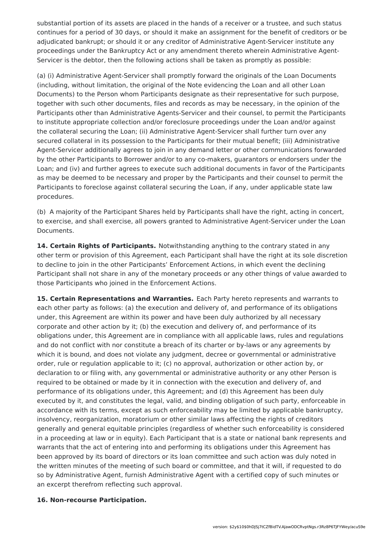substantial portion of its assets are placed in the hands of a receiver or a trustee, and such status continues for a period of 30 days, or should it make an assignment for the benefit of creditors or be adjudicated bankrupt; or should it or any creditor of Administrative Agent-Servicer institute any proceedings under the Bankruptcy Act or any amendment thereto wherein Administrative Agent-Servicer is the debtor, then the following actions shall be taken as promptly as possible:

(a) (i) Administrative Agent-Servicer shall promptly forward the originals of the Loan Documents (including, without limitation, the original of the Note evidencing the Loan and all other Loan Documents) to the Person whom Participants designate as their representative for such purpose, together with such other documents, files and records as may be necessary, in the opinion of the Participants other than Administrative Agents-Servicer and their counsel, to permit the Participants to institute appropriate collection and/or foreclosure proceedings under the Loan and/or against the collateral securing the Loan; (ii) Administrative Agent-Servicer shall further turn over any secured collateral in its possession to the Participants for their mutual benefit; (iii) Administrative Agent-Servicer additionally agrees to join in any demand letter or other communications forwarded by the other Participants to Borrower and/or to any co-makers, guarantors or endorsers under the Loan; and (iv) and further agrees to execute such additional documents in favor of the Participants as may be deemed to be necessary and proper by the Participants and their counsel to permit the Participants to foreclose against collateral securing the Loan, if any, under applicable state law procedures.

(b) A majority of the Participant Shares held by Participants shall have the right, acting in concert, to exercise, and shall exercise, all powers granted to Administrative Agent-Servicer under the Loan Documents.

**14. Certain Rights of Participants.** Notwithstanding anything to the contrary stated in any other term or provision of this Agreement, each Participant shall have the right at its sole discretion to decline to join in the other Participants' Enforcement Actions, in which event the declining Participant shall not share in any of the monetary proceeds or any other things of value awarded to those Participants who joined in the Enforcement Actions.

**15. Certain Representations and Warranties.** Each Party hereto represents and warrants to each other party as follows: (a) the execution and delivery of, and performance of its obligations under, this Agreement are within its power and have been duly authorized by all necessary corporate and other action by it; (b) the execution and delivery of, and performance of its obligations under, this Agreement are in compliance with all applicable laws, rules and regulations and do not conflict with nor constitute a breach of its charter or by-laws or any agreements by which it is bound, and does not violate any judgment, decree or governmental or administrative order, rule or regulation applicable to it; (c) no approval, authorization or other action by, or declaration to or filing with, any governmental or administrative authority or any other Person is required to be obtained or made by it in connection with the execution and delivery of, and performance of its obligations under, this Agreement; and (d) this Agreement has been duly executed by it, and constitutes the legal, valid, and binding obligation of such party, enforceable in accordance with its terms, except as such enforceability may be limited by applicable bankruptcy, insolvency, reorganization, moratorium or other similar laws affecting the rights of creditors generally and general equitable principles (regardless of whether such enforceability is considered in a proceeding at law or in equity). Each Participant that is a state or national bank represents and warrants that the act of entering into and performing its obligations under this Agreement has been approved by its board of directors or its loan committee and such action was duly noted in the written minutes of the meeting of such board or committee, and that it will, if requested to do so by Administrative Agent, furnish Administrative Agent with a certified copy of such minutes or an excerpt therefrom reflecting such approval.

#### **16. Non-recourse Participation.**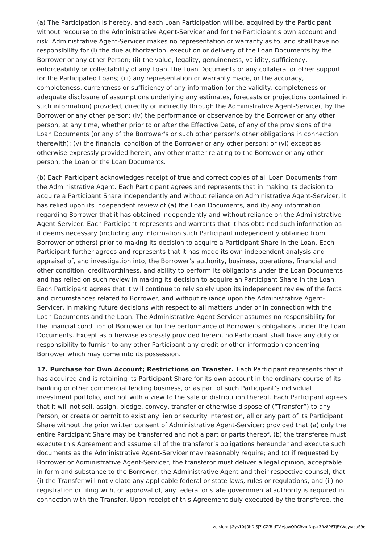(a) The Participation is hereby, and each Loan Participation will be, acquired by the Participant without recourse to the Administrative Agent-Servicer and for the Participant's own account and risk. Administrative Agent-Servicer makes no representation or warranty as to, and shall have no responsibility for (i) the due authorization, execution or delivery of the Loan Documents by the Borrower or any other Person; (ii) the value, legality, genuineness, validity, sufficiency, enforceability or collectability of any Loan, the Loan Documents or any collateral or other support for the Participated Loans; (iii) any representation or warranty made, or the accuracy, completeness, currentness or sufficiency of any information (or the validity, completeness or adequate disclosure of assumptions underlying any estimates, forecasts or projections contained in such information) provided, directly or indirectly through the Administrative Agent-Servicer, by the Borrower or any other person; (iv) the performance or observance by the Borrower or any other person, at any time, whether prior to or after the Effective Date, of any of the provisions of the Loan Documents (or any of the Borrower's or such other person's other obligations in connection therewith); (v) the financial condition of the Borrower or any other person; or (vi) except as otherwise expressly provided herein, any other matter relating to the Borrower or any other person, the Loan or the Loan Documents.

(b) Each Participant acknowledges receipt of true and correct copies of all Loan Documents from the Administrative Agent. Each Participant agrees and represents that in making its decision to acquire a Participant Share independently and without reliance on Administrative Agent-Servicer, it has relied upon its independent review of (a) the Loan Documents, and (b) any information regarding Borrower that it has obtained independently and without reliance on the Administrative Agent-Servicer. Each Participant represents and warrants that it has obtained such information as it deems necessary (including any information such Participant independently obtained from Borrower or others) prior to making its decision to acquire a Participant Share in the Loan. Each Participant further agrees and represents that it has made its own independent analysis and appraisal of, and investigation into, the Borrower's authority, business, operations, financial and other condition, creditworthiness, and ability to perform its obligations under the Loan Documents and has relied on such review in making its decision to acquire an Participant Share in the Loan. Each Participant agrees that it will continue to rely solely upon its independent review of the facts and circumstances related to Borrower, and without reliance upon the Administrative Agent-Servicer, in making future decisions with respect to all matters under or in connection with the Loan Documents and the Loan. The Administrative Agent-Servicer assumes no responsibility for the financial condition of Borrower or for the performance of Borrower's obligations under the Loan Documents. Except as otherwise expressly provided herein, no Participant shall have any duty or responsibility to furnish to any other Participant any credit or other information concerning Borrower which may come into its possession.

**17. Purchase for Own Account; Restrictions on Transfer.** Each Participant represents that it has acquired and is retaining its Participant Share for its own account in the ordinary course of its banking or other commercial lending business, or as part of such Participant's individual investment portfolio, and not with a view to the sale or distribution thereof. Each Participant agrees that it will not sell, assign, pledge, convey, transfer or otherwise dispose of ("Transfer") to any Person, or create or permit to exist any lien or security interest on, all or any part of its Participant Share without the prior written consent of Administrative Agent-Servicer; provided that (a) only the entire Participant Share may be transferred and not a part or parts thereof, (b) the transferee must execute this Agreement and assume all of the transferor's obligations hereunder and execute such documents as the Administrative Agent-Servicer may reasonably require; and (c) if requested by Borrower or Administrative Agent-Servicer, the transferor must deliver a legal opinion, acceptable in form and substance to the Borrower, the Administrative Agent and their respective counsel, that (i) the Transfer will not violate any applicable federal or state laws, rules or regulations, and (ii) no registration or filing with, or approval of, any federal or state governmental authority is required in connection with the Transfer. Upon receipt of this Agreement duly executed by the transferee, the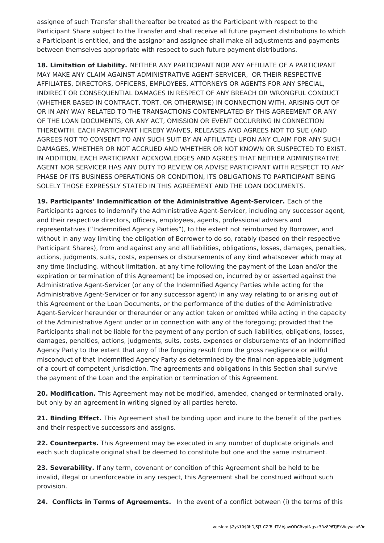assignee of such Transfer shall thereafter be treated as the Participant with respect to the Participant Share subject to the Transfer and shall receive all future payment distributions to which a Participant is entitled, and the assignor and assignee shall make all adjustments and payments between themselves appropriate with respect to such future payment distributions.

**18. Limitation of Liability.** NEITHER ANY PARTICIPANT NOR ANY AFFILIATE OF A PARTICIPANT MAY MAKE ANY CLAIM AGAINST ADMINISTRATIVE AGENT-SERVICER, OR THEIR RESPECTIVE AFFILIATES, DIRECTORS, OFFICERS, EMPLOYEES, ATTORNEYS OR AGENTS FOR ANY SPECIAL, INDIRECT OR CONSEQUENTIAL DAMAGES IN RESPECT OF ANY BREACH OR WRONGFUL CONDUCT (WHETHER BASED IN CONTRACT, TORT, OR OTHERWISE) IN CONNECTION WITH, ARISING OUT OF OR IN ANY WAY RELATED TO THE TRANSACTIONS CONTEMPLATED BY THIS AGREEMENT OR ANY OF THE LOAN DOCUMENTS, OR ANY ACT, OMISSION OR EVENT OCCURRING IN CONNECTION THEREWITH. EACH PARTICIPANT HEREBY WAIVES, RELEASES AND AGREES NOT TO SUE (AND AGREES NOT TO CONSENT TO ANY SUCH SUIT BY AN AFFILIATE) UPON ANY CLAIM FOR ANY SUCH DAMAGES, WHETHER OR NOT ACCRUED AND WHETHER OR NOT KNOWN OR SUSPECTED TO EXIST. IN ADDITION, EACH PARTICIPANT ACKNOWLEDGES AND AGREES THAT NEITHER ADMINISTRATIVE AGENT NOR SERVICER HAS ANY DUTY TO REVIEW OR ADVISE PARTICIPANT WITH RESPECT TO ANY PHASE OF ITS BUSINESS OPERATIONS OR CONDITION, ITS OBLIGATIONS TO PARTICIPANT BEING SOLELY THOSE EXPRESSLY STATED IN THIS AGREEMENT AND THE LOAN DOCUMENTS.

**19. Participants' Indemnification of the Administrative Agent-Servicer.** Each of the Participants agrees to indemnify the Administrative Agent-Servicer, including any successor agent, and their respective directors, officers, employees, agents, professional advisers and representatives ("Indemnified Agency Parties"), to the extent not reimbursed by Borrower, and without in any way limiting the obligation of Borrower to do so, ratably (based on their respective Participant Shares), from and against any and all liabilities, obligations, losses, damages, penalties, actions, judgments, suits, costs, expenses or disbursements of any kind whatsoever which may at any time (including, without limitation, at any time following the payment of the Loan and/or the expiration or termination of this Agreement) be imposed on, incurred by or asserted against the Administrative Agent-Servicer (or any of the Indemnified Agency Parties while acting for the Administrative Agent-Servicer or for any successor agent) in any way relating to or arising out of this Agreement or the Loan Documents, or the performance of the duties of the Administrative Agent-Servicer hereunder or thereunder or any action taken or omitted while acting in the capacity of the Administrative Agent under or in connection with any of the foregoing; provided that the Participants shall not be liable for the payment of any portion of such liabilities, obligations, losses, damages, penalties, actions, judgments, suits, costs, expenses or disbursements of an Indemnified Agency Party to the extent that any of the forgoing result from the gross negligence or willful misconduct of that Indemnified Agency Party as determined by the final non-appealable judgment of a court of competent jurisdiction. The agreements and obligations in this Section shall survive the payment of the Loan and the expiration or termination of this Agreement.

**20. Modification.** This Agreement may not be modified, amended, changed or terminated orally, but only by an agreement in writing signed by all parties hereto.

**21. Binding Effect.** This Agreement shall be binding upon and inure to the benefit of the parties and their respective successors and assigns.

**22. Counterparts.** This Agreement may be executed in any number of duplicate originals and each such duplicate original shall be deemed to constitute but one and the same instrument.

**23. Severability.** If any term, covenant or condition of this Agreement shall be held to be invalid, illegal or unenforceable in any respect, this Agreement shall be construed without such provision.

**24. Conflicts in Terms of Agreements.** In the event of a conflict between (i) the terms of this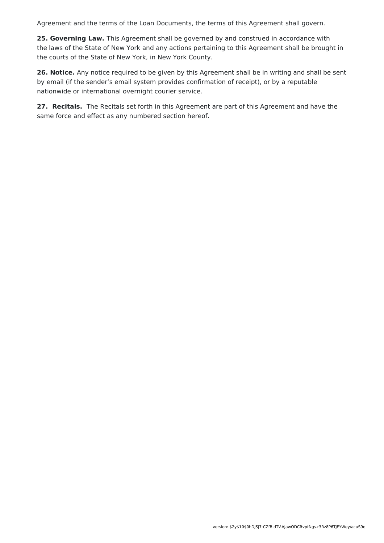Agreement and the terms of the Loan Documents, the terms of this Agreement shall govern.

**25. Governing Law.** This Agreement shall be governed by and construed in accordance with the laws of the State of New York and any actions pertaining to this Agreement shall be brought in the courts of the State of New York, in New York County.

**26. Notice.** Any notice required to be given by this Agreement shall be in writing and shall be sent by email (if the sender's email system provides confirmation of receipt), or by a reputable nationwide or international overnight courier service.

**27. Recitals.** The Recitals set forth in this Agreement are part of this Agreement and have the same force and effect as any numbered section hereof.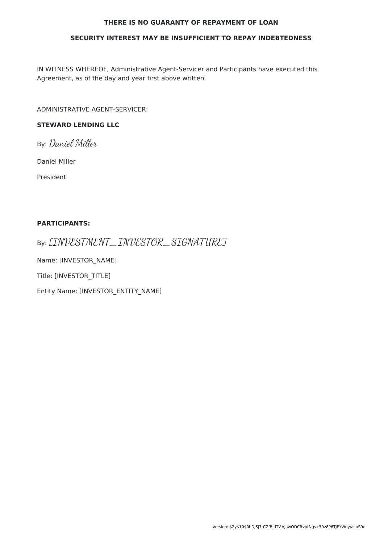#### **THERE IS NO GUARANTY OF REPAYMENT OF LOAN**

#### **SECURITY INTEREST MAY BE INSUFFICIENT TO REPAY INDEBTEDNESS**

IN WITNESS WHEREOF, Administrative Agent-Servicer and Participants have executed this Agreement, as of the day and year first above written.

ADMINISTRATIVE AGENT-SERVICER:

### **STEWARD LENDING LLC**

By: Daniel Miller

Daniel Miller

President

#### **PARTICIPANTS:**

By: [INVESTMENT\_INVESTOR\_SIGNATURE]

Name: [INVESTOR\_NAME]

Title: [INVESTOR\_TITLE]

Entity Name: [INVESTOR\_ENTITY\_NAME]